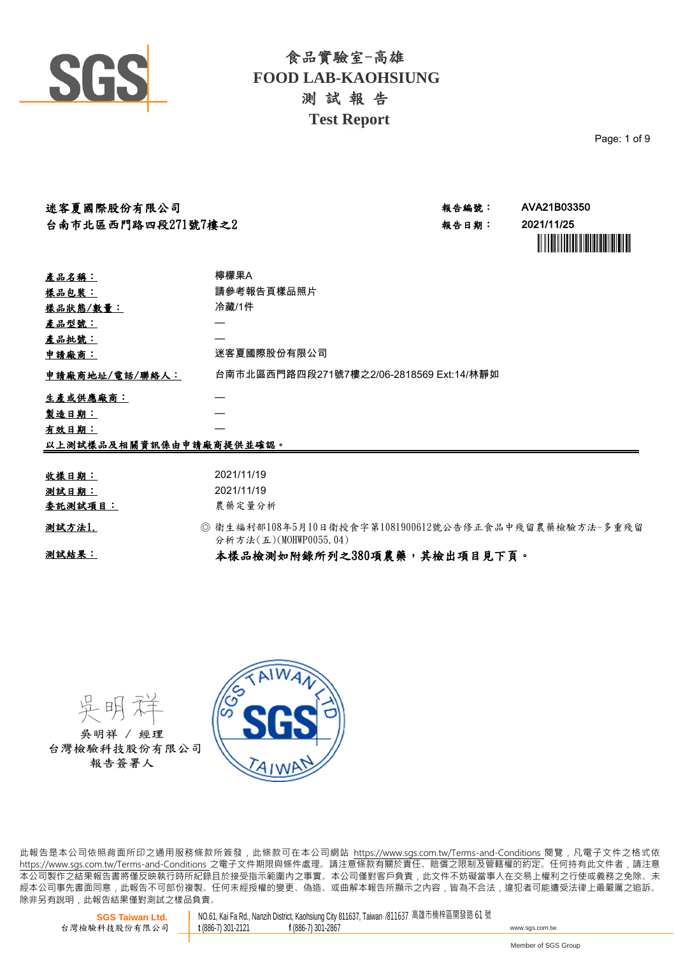

Page: 1 of 9

| 迷客夏國際股份有限公司                                                |                                                                               | 報告編號: | AVA21B03350                                                                                                                           |  |  |  |
|------------------------------------------------------------|-------------------------------------------------------------------------------|-------|---------------------------------------------------------------------------------------------------------------------------------------|--|--|--|
| 台南市北區西門路四段271號7樓之2                                         |                                                                               | 報告日期: | 2021/11/25<br><u> Albani III albani ya Mareji ya Mareji ya Mareji ya Mareji ya Mareji ya Mareji ya Mareji ya Mareji ya Mareji ya </u> |  |  |  |
| 產品名稱:                                                      | 檸檬果A                                                                          |       |                                                                                                                                       |  |  |  |
| <u>樣品包裝:</u>                                               | 請參考報告頁樣品照片                                                                    |       |                                                                                                                                       |  |  |  |
| 樣品狀態/數量:                                                   | 冷藏/1件                                                                         |       |                                                                                                                                       |  |  |  |
| <u>產品型號:</u>                                               |                                                                               |       |                                                                                                                                       |  |  |  |
| 產品批號:                                                      |                                                                               |       |                                                                                                                                       |  |  |  |
| 迷客夏國際股份有限公司<br>申請廠商:                                       |                                                                               |       |                                                                                                                                       |  |  |  |
| 台南市北區西門路四段271號7樓之2/06-2818569 Ext:14/林靜如<br>申請廠商地址/電話/聯絡人: |                                                                               |       |                                                                                                                                       |  |  |  |
| 生產或供應廠商︰                                                   |                                                                               |       |                                                                                                                                       |  |  |  |
| 製造日期:                                                      |                                                                               |       |                                                                                                                                       |  |  |  |
| 有效日期:                                                      |                                                                               |       |                                                                                                                                       |  |  |  |
| 以上測試樣品及相關資訊係由申請廠商提供並確認。                                    |                                                                               |       |                                                                                                                                       |  |  |  |
|                                                            |                                                                               |       |                                                                                                                                       |  |  |  |
| 收樣日期:                                                      | 2021/11/19                                                                    |       |                                                                                                                                       |  |  |  |
| 测试日期:                                                      | 2021/11/19                                                                    |       |                                                                                                                                       |  |  |  |
| 委託測試項目:                                                    | 農藥定量分析                                                                        |       |                                                                                                                                       |  |  |  |
| 测試方法1.                                                     | ◎ 衛生福利部108年5月10日衛授食字第1081900612號公告修正食品中殘留農藥檢驗方法-多重殘留<br>分析方法(五)(MOHWP0055.04) |       |                                                                                                                                       |  |  |  |
| 测試結果:                                                      | 本樣品檢測如附錄所列之380項農藥,其檢出項目見下頁。                                                   |       |                                                                                                                                       |  |  |  |

吳明 吳明祥 / 經理 台灣檢驗科技股份有限公司 報告簽署人



此報告是本公司依照背面所印之通用服務條款所簽發,此條款可在本公司網站 https://www.sgs.com.tw/Terms-and-Conditions 閱覽,凡電子文件之格式依 https://www.sas.com.tw/Terms-and-Conditions 之電子文件期限與條件處理。請注意條款有關於責任、賠償之限制及管轄權的約定。任何持有此文件者,請注意 本 公 司 製 作 之 結 果 報 告 書 將 僅 反 映 執 行 時 所 紀 錄 且 於 接 受 指 示 範 圍 內 之 事 實 。 本 公 司 僅 對 客 戶 負 責 , 此 文 件 不 妨 礙 當 事 人 在 交 易 上 權 利 之 行 使 或 義 務 之 免 除 。 未 經 本 公 司 事 先 書 面 同 意 , 此 報 告 不 可 部 份 複 製 。 任 何 未 經 授 權 的 變 更 、 偽 造 、 或 曲 解 本 報 告 所 顯 示 之 內 容 , 皆 為 不 合 法 , 違 犯 者 可 能 遭 受 法 律 上 最 嚴 厲 之 追 訴 。 除非另有說明, 此報告結果僅對測試之樣品負責。

**SGS Taiwan Ltd.** 台灣檢驗科技股份有限公司 NO.61, Kai Fa Rd., Nanzih District, Kaohsiung City 811637, Taiwan /811637 高雄市楠梓區開發路 61 號<br>t (886-7) 301-2121 f (886-7) 301-2867 **<sup>t</sup>** (886-7) 301-2121 **<sup>f</sup>** (886-7) 301-2867 www.sgs.com.tw

Member of SGS Group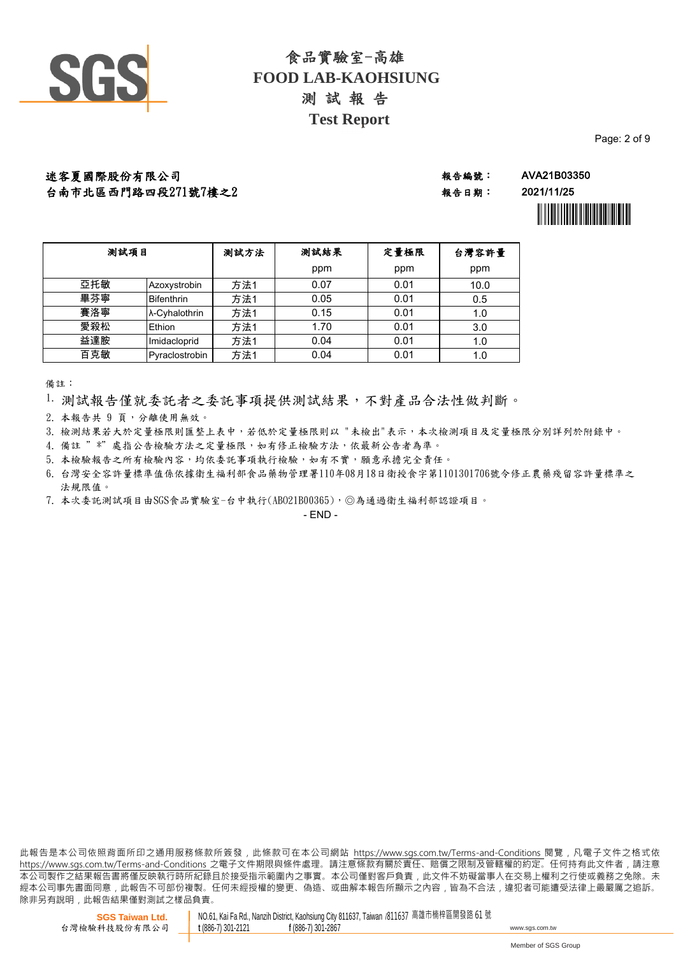

Page: 2 of 9

迷客夏國際股份有限公司 ねずい おおし さんじょう かんきょう かいじょう きょうきょう AVA21B03350 台南市北區西門路四段271號7樓之2

報告日期: 2021/11/25



| 测試項目 |                   | 测試方法 | 测試結果 | 定量極限 | 台灣容許量 |
|------|-------------------|------|------|------|-------|
|      |                   |      | ppm  | ppm  | ppm   |
| 亞托敏  | Azoxystrobin      | 方法1  | 0.07 | 0.01 | 10.0  |
| 畢芬寧  | <b>Bifenthrin</b> | 方法1  | 0.05 | 0.01 | 0.5   |
| 賽洛寧  | λ-Cyhalothrin     | 方法1  | 0.15 | 0.01 | 1.0   |
| 愛殺松  | Ethion            | 方法1  | 1.70 | 0.01 | 3.0   |
| 益達胺  | Imidacloprid      | 方法1  | 0.04 | 0.01 | 1.0   |
| 百克敏  | Pyraclostrobin    | 方法1  | 0.04 | 0.01 | 1.0   |

備註:

1. 測試報告僅就委託者之委託事項提供測試結果,不對產品合法性做判斷。

2. 本報告共 9 頁,分離使用無效。

3. 檢測結果若大於定量極限則匯整上表中,若低於定量極限則以 "未檢出"表示,本次檢測項目及定量極限分別詳列於附錄中。

4. 備註 " \*" 處指公告檢驗方法之定量極限,如有修正檢驗方法,依最新公告者為準。

5. 本檢驗報告之所有檢驗內容,均依委託事項執行檢驗,如有不實,願意承擔完全責任。

台灣安全容許量標準值係依據衛生福利部食品藥物管理署110年08月18日衛授食字第1101301706號令修正農藥殘留容許量標準之 6. 法規限值。

7. 本次委託測試項目由SGS食品實驗室-台中執行(ABO21B00365),◎為通過衛生福利部認證項目。

 $- FND -$ 

此報告是本公司依照背面所印之通用服務條款所簽發,此條款可在本公司網站 https://www.sgs.com.tw/Terms-and-Conditions 閱覽,凡電子文件之格式依 https://www.sas.com.tw/Terms-and-Conditions 之電子文件期限與條件處理。請注意條款有關於責任、賠償之限制及管轄權的約定。任何持有此文件者,請注意 本 公 司 製 作 之 結 果 報 告 書 將 僅 反 映 執 行 時 所 紀 錄 且 於 接 受 指 示 範 圍 內 之 事 實 。 本 公 司 僅 對 客 戶 負 責 , 此 文 件 不 妨 礙 當 事 人 在 交 易 上 權 利 之 行 使 或 義 務 之 免 除 。 未 經本公司事先書面同意,此報告不可部份複製。任何未經授權的變更、偽造、或曲解本報告所顯示之內容,皆為不合法,違犯者可能遭受法律上最嚴厲之追訴。 除非另有說明, 此報告結果僅對測試之樣品負責。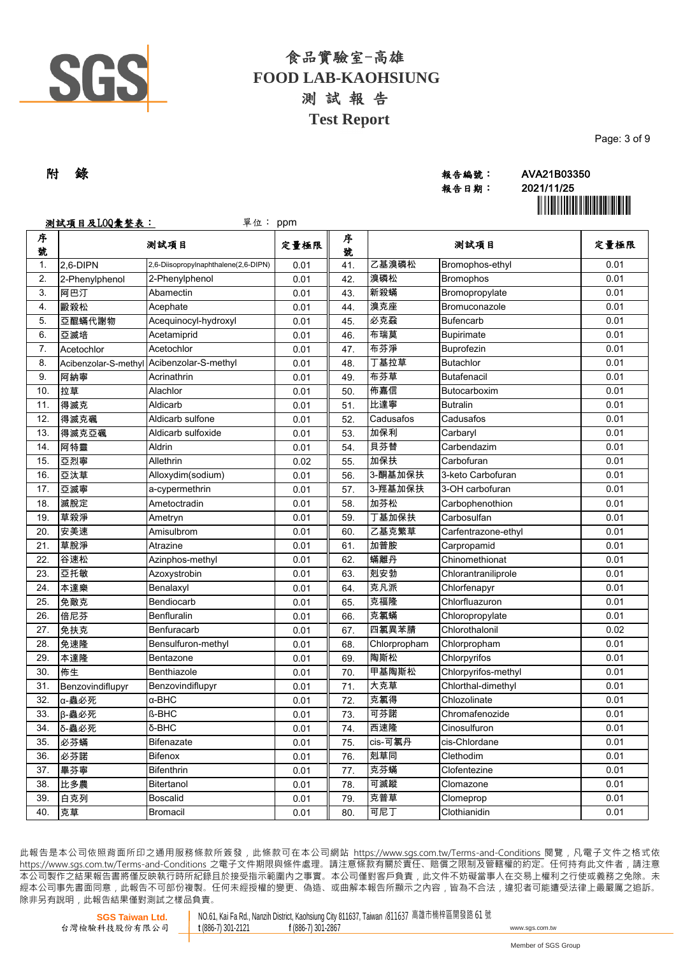

| Page: 3 of 9 |
|--------------|
|--------------|

# 報告日期: 2021/11/25

附 錄 報告編號: AVA21B03350 ÌAVA21B03350tÎ

|               | 测試項目及LOQ彙整表:     | 單位: ppm                                   |      |        |              |                     |      |
|---------------|------------------|-------------------------------------------|------|--------|--------------|---------------------|------|
| 序<br>號        |                  | 测試項目                                      | 定量極限 | 序<br>號 |              | 测試項目                | 定量極限 |
| $\mathbf 1$ . | 2,6-DIPN         | 2,6-Diisopropylnaphthalene(2,6-DIPN)      | 0.01 | 41.    | 乙基溴磷松        | Bromophos-ethyl     | 0.01 |
| 2.            | 2-Phenylphenol   | 2-Phenylphenol                            | 0.01 | 42.    | 溴磷松          | <b>Bromophos</b>    | 0.01 |
| 3.            | 阿巴汀              | Abamectin                                 | 0.01 | 43.    | 新殺蟎          | Bromopropylate      | 0.01 |
| 4.            | 毆殺松              | Acephate                                  | 0.01 | 44.    | 溴克座          | Bromuconazole       | 0.01 |
| 5.            | 亞醌蟎代謝物           | Acequinocyl-hydroxyl                      | 0.01 | 45.    | 必克蝨          | <b>Bufencarb</b>    | 0.01 |
| 6.            | 亞滅培              | Acetamiprid                               | 0.01 | 46.    | 布瑞莫          | <b>Bupirimate</b>   | 0.01 |
| 7.            | Acetochlor       | Acetochlor                                | 0.01 | 47.    | 布芬淨          | Buprofezin          | 0.01 |
| 8.            |                  | Acibenzolar-S-methyl Acibenzolar-S-methyl | 0.01 | 48.    | 丁基拉草         | <b>Butachlor</b>    | 0.01 |
| 9.            | 阿納寧              | Acrinathrin                               | 0.01 | 49.    | 布芬草          | <b>Butafenacil</b>  | 0.01 |
| 10.           | 拉草               | Alachlor                                  | 0.01 | 50.    | 佈嘉信          | Butocarboxim        | 0.01 |
| 11.           | 得滅克              | Aldicarb                                  | 0.01 | 51.    | 比達寧          | <b>Butralin</b>     | 0.01 |
| 12.           | 得滅克碸             | Aldicarb sulfone                          | 0.01 | 52.    | Cadusafos    | Cadusafos           | 0.01 |
| 13.           | 得滅克亞碸            | Aldicarb sulfoxide                        | 0.01 | 53.    | 加保利          | Carbaryl            | 0.01 |
| 14.           | 阿特靈              | Aldrin                                    | 0.01 | 54.    | 貝芬替          | Carbendazim         | 0.01 |
| 15.           | 亞烈寧              | Allethrin                                 | 0.02 | 55.    | 加保扶          | Carbofuran          | 0.01 |
| 16.           | 亞汰草              | Alloxydim(sodium)                         | 0.01 | 56.    | 3-酮基加保扶      | 3-keto Carbofuran   | 0.01 |
| 17.           | 亞滅寧              | a-cypermethrin                            | 0.01 | 57.    | 3-羥基加保扶      | 3-OH carbofuran     | 0.01 |
| 18.           | 滅脫定              | Ametoctradin                              | 0.01 | 58.    | 加芬松          | Carbophenothion     | 0.01 |
| 19.           | 草殺淨              | Ametryn                                   | 0.01 | 59.    | 丁基加保扶        | Carbosulfan         | 0.01 |
| 20.           | 安美速              | Amisulbrom                                | 0.01 | 60.    | 乙基克繁草        | Carfentrazone-ethyl | 0.01 |
| 21.           | 草脫淨              | Atrazine                                  | 0.01 | 61.    | 加普胺          | Carpropamid         | 0.01 |
| 22.           | 谷速松              | Azinphos-methyl                           | 0.01 | 62.    | 蟎離丹          | Chinomethionat      | 0.01 |
| 23.           | 亞托敏              | Azoxystrobin                              | 0.01 | 63.    | 剋安勃          | Chlorantraniliprole | 0.01 |
| 24.           | 本達樂              | Benalaxyl                                 | 0.01 | 64.    | 克凡派          | Chlorfenapyr        | 0.01 |
| 25.           | 免敵克              | Bendiocarb                                | 0.01 | 65.    | 克福隆          | Chlorfluazuron      | 0.01 |
| 26.           | 倍尼芬              | Benfluralin                               | 0.01 | 66.    | 克氯蟎          | Chloropropylate     | 0.01 |
| 27.           | 免扶克              | Benfuracarb                               | 0.01 | 67.    | 四氯異苯腈        | Chlorothalonil      | 0.02 |
| 28.           | 免速隆              | Bensulfuron-methyl                        | 0.01 | 68.    | Chlorpropham | Chlorpropham        | 0.01 |
| 29.           | 本達隆              | Bentazone                                 | 0.01 | 69.    | 陶斯松          | Chlorpyrifos        | 0.01 |
| 30.           | 佈生               | Benthiazole                               | 0.01 | 70.    | 甲基陶斯松        | Chlorpyrifos-methyl | 0.01 |
| 31.           | Benzovindiflupyr | Benzovindiflupyr                          | 0.01 | 71.    | 大克草          | Chlorthal-dimethyl  | 0.01 |
| 32.           | α-蟲必死            | $\alpha$ -BHC                             | 0.01 | 72.    | 克氯得          | Chlozolinate        | 0.01 |
| 33.           | β-蟲必死            | <b>ß-BHC</b>                              | 0.01 | 73.    | 可芬諾          | Chromafenozide      | 0.01 |
| 34.           | δ-蟲必死            | $\delta$ -BHC                             | 0.01 | 74.    | 西速隆          | Cinosulfuron        | 0.01 |
| 35.           | 必芬蟎              | <b>Bifenazate</b>                         | 0.01 | 75.    | cis-可氯丹      | cis-Chlordane       | 0.01 |
| 36.           | 必芬諾              | Bifenox                                   | 0.01 | 76.    | 剋草同          | Clethodim           | 0.01 |
| 37.           | 畢芬寧              | Bifenthrin                                | 0.01 | 77.    | 克芬蟎          | Clofentezine        | 0.01 |
| 38.           | 比多農              | Bitertanol                                | 0.01 | 78.    | 可滅蹤          | Clomazone           | 0.01 |
| 39.           | 白克列              | <b>Boscalid</b>                           | 0.01 | 79.    | 克普草          | Clomeprop           | 0.01 |
| 40.           | 克草               | Bromacil                                  | 0.01 | 80.    | 可尼丁          | Clothianidin        | 0.01 |

此報告是本公司依照背面所印之通用服務條款所簽發,此條款可在本公司網站 https://www.sgs.com.tw/Terms-and-Conditions 閱覽,凡電子文件之格式依 https://www.sas.com.tw/Terms-and-Conditions 之電子文件期限與條件處理。請注意條款有關於責任、賠償之限制及管轄權的約定。任何持有此文件者,請注意 本 公 司 製 作 之 結 果 報 告 書 將 僅 反 映 執 行 時 所 紀 錄 且 於 接 受 指 示 範 圍 內 之 事 實 。 本 公 司 僅 對 客 戶 負 責 , 此 文 件 不 妨 礙 當 事 人 在 交 易 上 權 利 之 行 使 或 義 務 之 免 除 。 未 經 本 公 司 事 先 書 面 同 意 , 此 報 告 不 可 部 份 複 製 。 任 何 未 經 授 權 的 變 更 、 偽 造 、 或 曲 解 本 報 告 所 顯 示 之 內 容 , 皆 為 不 合 法 , 違 犯 者 可 能 遭 受 法 律 上 最 嚴 厲 之 追 訴 。 除非另有說明, 此報告結果僅對測試之樣品負責。

**SGS Taiwan Ltd.** 台灣檢驗科技股份有限公司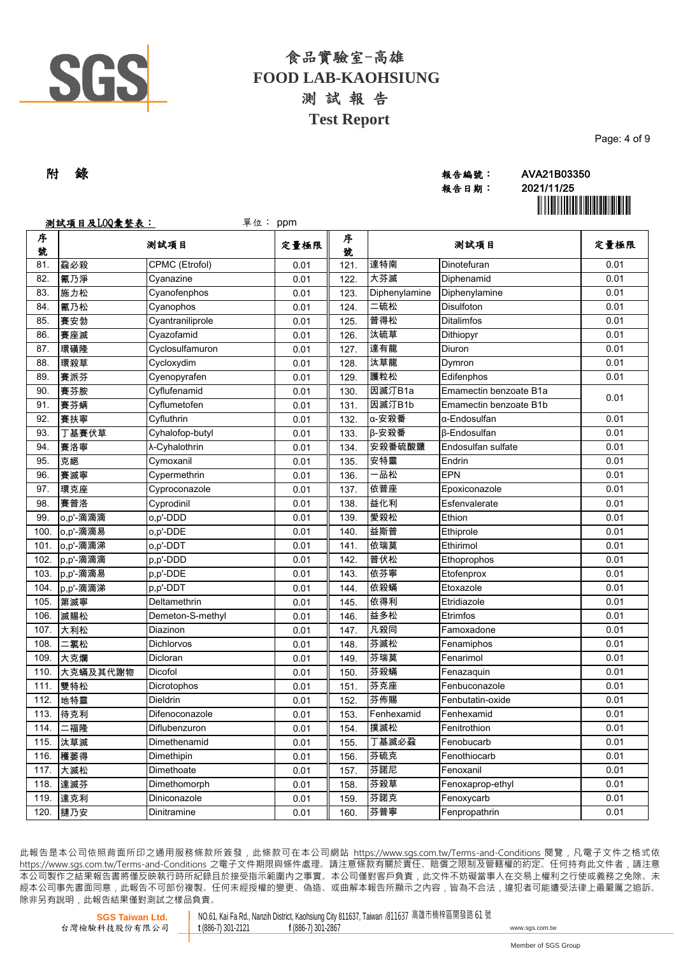

| Page: 4 of 9 |  |  |
|--------------|--|--|
|              |  |  |

# 報告日期: 2021/11/25

附 錄 報告編號: AVA21B03350 ÌAVA21B03350tÎ

|        | 测試項目及LOQ彙整表: | 單位: ppm          |      |        |               |                        |      |
|--------|--------------|------------------|------|--------|---------------|------------------------|------|
| 序<br>號 |              | 测試項目             | 定量極限 | 序<br>號 |               | 测試項目                   | 定量極限 |
| 81.    | 蝨必殺          | CPMC (Etrofol)   | 0.01 | 121.   | 達特南           | Dinotefuran            | 0.01 |
| 82.    | 氰乃淨          | Cyanazine        | 0.01 | 122.   | 大芬滅           | Diphenamid             | 0.01 |
| 83.    | 施力松          | Cyanofenphos     | 0.01 | 123.   | Diphenylamine | Diphenylamine          | 0.01 |
| 84.    | 氰乃松          | Cyanophos        | 0.01 | 124.   | 二硫松           | Disulfoton             | 0.01 |
| 85.    | 賽安勃          | Cyantraniliprole | 0.01 | 125.   | 普得松           | Ditalimfos             | 0.01 |
| 86.    | 賽座滅          | Cyazofamid       | 0.01 | 126.   | 汰硫草           | Dithiopyr              | 0.01 |
| 87.    | 環磺隆          | Cyclosulfamuron  | 0.01 | 127.   | 達有龍           | Diuron                 | 0.01 |
| 88.    | 環殺草          | Cycloxydim       | 0.01 | 128.   | 汰草龍           | Dymron                 | 0.01 |
| 89.    | 賽派芬          | Cyenopyrafen     | 0.01 | 129.   | 護粒松           | Edifenphos             | 0.01 |
| 90.    | 賽芬胺          | Cyflufenamid     | 0.01 | 130.   | 因滅汀B1a        | Emamectin benzoate B1a |      |
| 91.    | 賽芬螨          | Cyflumetofen     | 0.01 | 131.   | 因滅汀B1b        | Emamectin benzoate B1b | 0.01 |
| 92.    | 賽扶寧          | Cyfluthrin       | 0.01 | 132.   | α-安殺番         | α-Endosulfan           | 0.01 |
| 93.    | 丁基賽伏草        | Cyhalofop-butyl  | 0.01 | 133.   | β-安殺番         | <b>ß-Endosulfan</b>    | 0.01 |
| 94.    | 賽洛寧          | λ-Cyhalothrin    | 0.01 | 134.   | 安殺番硫酸鹽        | Endosulfan sulfate     | 0.01 |
| 95.    | 克絕           | Cymoxanil        | 0.01 | 135.   | 安特靈           | Endrin                 | 0.01 |
| 96.    | 賽滅寧          | Cypermethrin     | 0.01 | 136.   | 品松            | <b>EPN</b>             | 0.01 |
| 97.    | 環克座          | Cyproconazole    | 0.01 | 137.   | 依普座           | Epoxiconazole          | 0.01 |
| 98.    | 賽普洛          | Cyprodinil       | 0.01 | 138.   | 益化利           | Esfenvalerate          | 0.01 |
| 99.    | o,p'-滴滴滴     | o,p'-DDD         | 0.01 | 139.   | 愛殺松           | Ethion                 | 0.01 |
| 100.   | o,p'-滴滴易     | o.p'-DDE         | 0.01 | 140.   | 益斯普           | Ethiprole              | 0.01 |
| 101.   | o,p'-滴滴涕     | o,p'-DDT         | 0.01 | 141.   | 依瑞莫           | Ethirimol              | 0.01 |
| 102.   | p,p'-滴滴滴     | p,p'-DDD         | 0.01 | 142.   | 普伏松           | Ethoprophos            | 0.01 |
| 103.   | p,p'-滴滴易     | p,p'-DDE         | 0.01 | 143.   | 依芬寧           | Etofenprox             | 0.01 |
| 104.   | p,p'-滴滴涕     | p,p'-DDT         | 0.01 | 144.   | 依殺蟎           | Etoxazole              | 0.01 |
| 105.   | 第滅寧          | Deltamethrin     | 0.01 | 145.   | 依得利           | Etridiazole            | 0.01 |
| 106.   | 滅賜松          | Demeton-S-methyl | 0.01 | 146.   | 益多松           | Etrimfos               | 0.01 |
| 107.   | 大利松          | Diazinon         | 0.01 | 147.   | 凡殺同           | Famoxadone             | 0.01 |
| 108.   | 二氯松          | Dichlorvos       | 0.01 | 148.   | 芬滅松           | Fenamiphos             | 0.01 |
| 109.   | 大克爛          | Dicloran         | 0.01 | 149.   | 芬瑞莫           | Fenarimol              | 0.01 |
| 110    | 大克蟎及其代謝物     | Dicofol          | 0.01 | 150.   | 芬殺蟎           | Fenazaquin             | 0.01 |
| 111.   | 雙特松          | Dicrotophos      | 0.01 | 151.   | 芬克座           | Fenbuconazole          | 0.01 |
| 112.   | 地特靈          | Dieldrin         | 0.01 | 152.   | 芬佈賜           | Fenbutatin-oxide       | 0.01 |
| 113.   | 待克利          | Difenoconazole   | 0.01 | 153.   | Fenhexamid    | Fenhexamid             | 0.01 |
| 114.   | 二福隆          | Diflubenzuron    | 0.01 | 154.   | 撲滅松           | Fenitrothion           | 0.01 |
| 115.   | 汰草滅          | Dimethenamid     | 0.01 | 155.   | 丁基滅必蝨         | Fenobucarb             | 0.01 |
| 116.   | 穫萎得          | Dimethipin       | 0.01 | 156.   | 芬硫克           | Fenothiocarb           | 0.01 |
| 117.   | 大滅松          | Dimethoate       | 0.01 | 157.   | 芬諾尼           | Fenoxanil              | 0.01 |
| 118.   | 達滅芬          | Dimethomorph     | 0.01 | 158.   | 芬殺草           | Fenoxaprop-ethyl       | 0.01 |
| 119.   | 達克利          | Diniconazole     | 0.01 | 159.   | 芬諾克           | Fenoxycarb             | 0.01 |
| 120.   | 撻乃安          | Dinitramine      | 0.01 | 160.   | 芬普寧           | Fenpropathrin          | 0.01 |

此報告是本公司依照背面所印之通用服務條款所簽發,此條款可在本公司網站 https://www.sgs.com.tw/Terms-and-Conditions 閱覽,凡電子文件之格式依 https://www.sas.com.tw/Terms-and-Conditions 之電子文件期限與條件處理。請注意條款有關於責任、賠償之限制及管轄權的約定。任何持有此文件者,請注意 本 公 司 製 作 之 結 果 報 告 書 將 僅 反 映 執 行 時 所 紀 錄 且 於 接 受 指 示 範 圍 內 之 事 實 。 本 公 司 僅 對 客 戶 負 責 , 此 文 件 不 妨 礙 當 事 人 在 交 易 上 權 利 之 行 使 或 義 務 之 免 除 。 未 經 本 公 司 事 先 書 面 同 意 , 此 報 告 不 可 部 份 複 製 。 任 何 未 經 授 權 的 變 更 、 偽 造 、 或 曲 解 本 報 告 所 顯 示 之 內 容 , 皆 為 不 合 法 , 違 犯 者 可 能 遭 受 法 律 上 最 嚴 厲 之 追 訴 。 除非另有說明, 此報告結果僅對測試之樣品負責。

**SGS Taiwan Ltd.** 台灣檢驗科技股份有限公司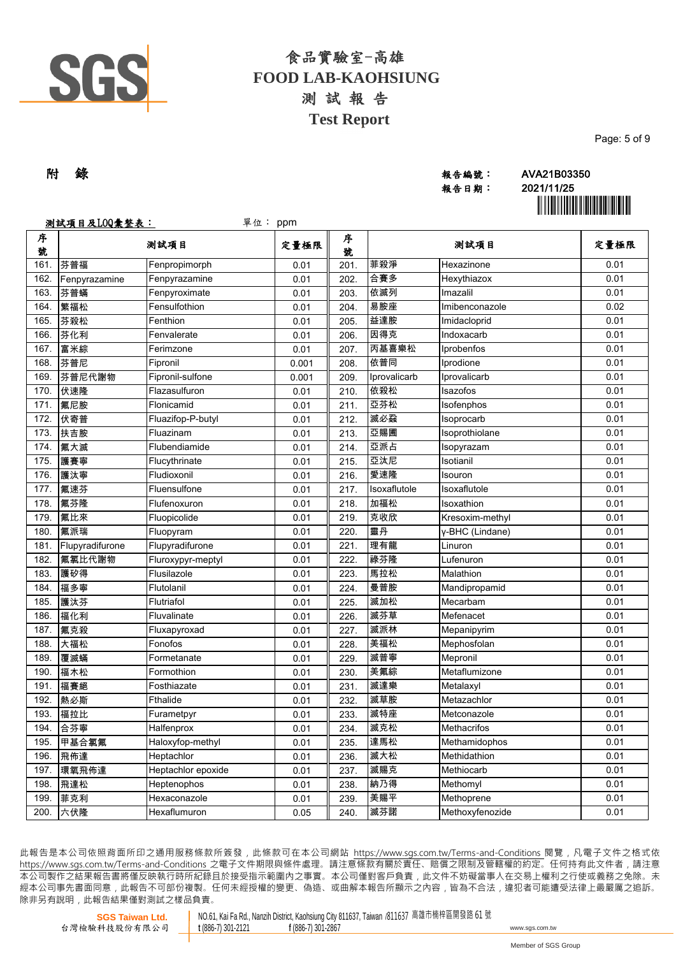

|  |  |  |  |  |  |  | Page: 5 of 9 |  |  |  |  |
|--|--|--|--|--|--|--|--------------|--|--|--|--|
|  |  |  |  |  |  |  |              |  |  |  |  |
|  |  |  |  |  |  |  |              |  |  |  |  |

# 報告日期: 2021/11/25

附 錄 報告編號: AVA21B03350 **i**n îl **in cele al III de la Septembri**a de la II

|        | 测試項目及LOQ彙整表:    | 單位: ppm            |       |        |              |                 |      |  |
|--------|-----------------|--------------------|-------|--------|--------------|-----------------|------|--|
| 序<br>號 |                 | 测試項目               | 定量極限  | 序<br>號 |              | 测試項目            |      |  |
| 161.   | 芬普福             | Fenpropimorph      | 0.01  | 201.   | 菲殺淨          | Hexazinone      | 0.01 |  |
| 162.   | Fenpyrazamine   | Fenpyrazamine      | 0.01  | 202.   | 合賽多          | Hexythiazox     | 0.01 |  |
| 163.   | 芬普蟎             | Fenpyroximate      | 0.01  | 203.   | 依滅列          | Imazalil        | 0.01 |  |
| 164.   | 繁福松             | Fensulfothion      | 0.01  | 204.   | 易胺座          | Imibenconazole  | 0.02 |  |
| 165.   | 芬殺松             | Fenthion           | 0.01  | 205.   | 益達胺          | Imidacloprid    | 0.01 |  |
| 166.   | 芬化利             | Fenvalerate        | 0.01  | 206.   | 因得克          | Indoxacarb      | 0.01 |  |
| 167.   | 富米綜             | Ferimzone          | 0.01  | 207.   | 丙基喜樂松        | Iprobenfos      | 0.01 |  |
| 168.   | 芬普尼             | Fipronil           | 0.001 | 208.   | 依普同          | Iprodione       | 0.01 |  |
| 169.   | 芬普尼代謝物          | Fipronil-sulfone   | 0.001 | 209.   | Iprovalicarb | Iprovalicarb    | 0.01 |  |
| 170.   | 伏速隆             | Flazasulfuron      | 0.01  | 210.   | 依殺松          | Isazofos        | 0.01 |  |
| 171.   | 氟尼胺             | Flonicamid         | 0.01  | 211.   | 亞芬松          | Isofenphos      | 0.01 |  |
| 172.   | 伏寄普             | Fluazifop-P-butyl  | 0.01  | 212.   | 滅必蝨          | Isoprocarb      | 0.01 |  |
| 173.   | 扶吉胺             | Fluazinam          | 0.01  | 213.   | 亞賜圃          | Isoprothiolane  | 0.01 |  |
| 174.   | 氟大滅             | Flubendiamide      | 0.01  | 214.   | 亞派占          | Isopyrazam      | 0.01 |  |
| 175.   | 護賽寧             | Flucythrinate      | 0.01  | 215.   | 亞汰尼          | Isotianil       | 0.01 |  |
| 176.   | 護汰寧             | Fludioxonil        | 0.01  | 216.   | 愛速隆          | Isouron         | 0.01 |  |
| 177.   | 氟速芬             | Fluensulfone       | 0.01  | 217.   | Isoxaflutole | Isoxaflutole    | 0.01 |  |
| 178.   | 氟芬隆             | Flufenoxuron       | 0.01  | 218.   | 加福松          | Isoxathion      | 0.01 |  |
| 179.   | 氟比來             | Fluopicolide       | 0.01  | 219.   | 克收欣          | Kresoxim-methyl | 0.01 |  |
| 180.   | 氟派瑞             | Fluopyram          | 0.01  | 220.   | 靈丹           | γ-BHC (Lindane) | 0.01 |  |
| 181.   | Flupyradifurone | Flupyradifurone    | 0.01  | 221.   | 理有龍          | Linuron         | 0.01 |  |
| 182.   | 氟氯比代謝物          | Fluroxypyr-meptyl  | 0.01  | 222.   | 祿芬隆          | Lufenuron       | 0.01 |  |
| 183.   | 護矽得             | Flusilazole        | 0.01  | 223.   | 馬拉松          | Malathion       | 0.01 |  |
| 184.   | 福多寧             | Flutolanil         | 0.01  | 224.   | 曼普胺          | Mandipropamid   | 0.01 |  |
| 185.   | 護汰芬             | Flutriafol         | 0.01  | 225.   | 滅加松          | Mecarbam        | 0.01 |  |
| 186.   | 福化利             | Fluvalinate        | 0.01  | 226.   | 滅芬草          | Mefenacet       | 0.01 |  |
| 187.   | 氟克殺             | Fluxapyroxad       | 0.01  | 227.   | 滅派林          | Mepanipyrim     | 0.01 |  |
| 188.   | 大福松             | Fonofos            | 0.01  | 228.   | 美福松          | Mephosfolan     | 0.01 |  |
| 189.   | 覆滅蟎             | Formetanate        | 0.01  | 229.   | 滅普寧          | Mepronil        | 0.01 |  |
| 190.   | 福木松             | Formothion         | 0.01  | 230.   | 美氟綜          | Metaflumizone   | 0.01 |  |
| 191.   | 福賽絕             | Fosthiazate        | 0.01  | 231.   | 滅達樂          | Metalaxyl       | 0.01 |  |
| 192.   | 熱必斯             | Fthalide           | 0.01  | 232.   | 滅草胺          | Metazachlor     | 0.01 |  |
| 193.   | 福拉比             | Furametpyr         | 0.01  | 233.   | 滅特座          | Metconazole     | 0.01 |  |
| 194.   | 合芬寧             | Halfenprox         | 0.01  | 234.   | 滅克松          | Methacrifos     | 0.01 |  |
| 195.   | 甲基合氯氟           | Haloxyfop-methyl   | 0.01  | 235.   | 達馬松          | Methamidophos   | 0.01 |  |
| 196.   | 飛佈達             | Heptachlor         | 0.01  | 236.   | 滅大松          | Methidathion    | 0.01 |  |
| 197.   | 環氧飛佈達           | Heptachlor epoxide | 0.01  | 237.   | 滅賜克          | Methiocarb      | 0.01 |  |
| 198.   | 飛達松             | Heptenophos        | 0.01  | 238.   | 納乃得          | Methomyl        | 0.01 |  |
| 199.   | 菲克利             | Hexaconazole       | 0.01  | 239.   | 美賜平          | Methoprene      | 0.01 |  |
| 200.   | 六伏隆             | Hexaflumuron       | 0.05  | 240.   | 滅芬諾          | Methoxyfenozide | 0.01 |  |

此報告是本公司依照背面所印之通用服務條款所簽發,此條款可在本公司網站 https://www.sgs.com.tw/Terms-and-Conditions 閱覽,凡電子文件之格式依 https://www.sas.com.tw/Terms-and-Conditions 之電子文件期限與條件處理。請注意條款有關於責任、賠償之限制及管轄權的約定。任何持有此文件者,請注意 本 公 司 製 作 之 結 果 報 告 書 將 僅 反 映 執 行 時 所 紀 錄 且 於 接 受 指 示 範 圍 內 之 事 實 。 本 公 司 僅 對 客 戶 負 責 , 此 文 件 不 妨 礙 當 事 人 在 交 易 上 權 利 之 行 使 或 義 務 之 免 除 。 未 經 本 公 司 事 先 書 面 同 意 , 此 報 告 不 可 部 份 複 製 。 任 何 未 經 授 權 的 變 更 、 偽 造 、 或 曲 解 本 報 告 所 顯 示 之 內 容 , 皆 為 不 合 法 , 違 犯 者 可 能 遭 受 法 律 上 最 嚴 厲 之 追 訴 。 除非另有說明, 此報告結果僅對測試之樣品負責。

**SGS Taiwan Ltd.** 台灣檢驗科技股份有限公司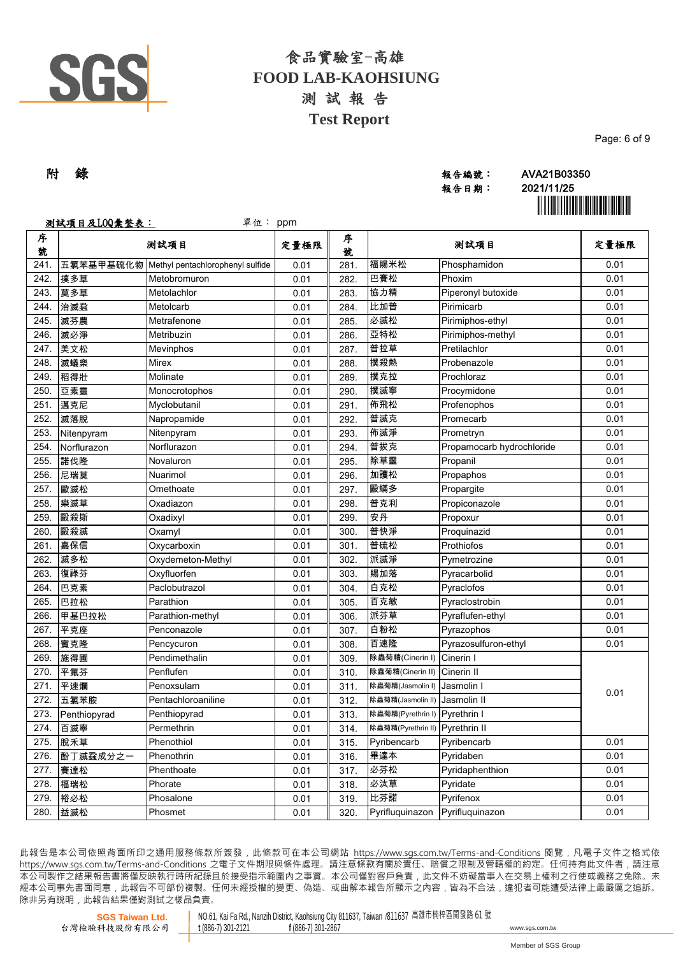

| 附 錄 | 報告編號: | AVA21B03350 |
|-----|-------|-------------|
|     | 報告日期: | 2021/11/25  |
|     |       |             |

ÌAVA21B03350tÎ

Page: 6 of 9

|        | 测試項目及LOQ彙整表: | 單位:                              | ppm  |        |                                 |                           |      |
|--------|--------------|----------------------------------|------|--------|---------------------------------|---------------------------|------|
| 序<br>號 |              | 测試項目                             | 定量極限 | 序<br>號 |                                 | 测試項目                      | 定量極限 |
| 241.   | 五氯苯基甲基硫化物    | Methyl pentachlorophenyl sulfide | 0.01 | 281.   | 福賜米松                            | Phosphamidon              | 0.01 |
| 242.   | 撲多草          | Metobromuron                     | 0.01 | 282.   | 巴賽松                             | Phoxim                    | 0.01 |
| 243.   | 莫多草          | Metolachlor                      | 0.01 | 283.   | 協力精                             | Piperonyl butoxide        | 0.01 |
| 244.   | 治滅蝨          | Metolcarb                        | 0.01 | 284.   | 比加普                             | Pirimicarb                | 0.01 |
| 245.   | 滅芬農          | Metrafenone                      | 0.01 | 285.   | 必滅松                             | Pirimiphos-ethyl          | 0.01 |
| 246.   | 滅必淨          | Metribuzin                       | 0.01 | 286.   | 亞特松                             | Pirimiphos-methyl         | 0.01 |
| 247.   | 美文松          | Mevinphos                        | 0.01 | 287.   | 普拉草                             | Pretilachlor              | 0.01 |
| 248.   | 滅蟻樂          | Mirex                            | 0.01 | 288.   | 撲殺熱                             | Probenazole               | 0.01 |
| 249.   | 稻得壯          | Molinate                         | 0.01 | 289.   | 撲克拉                             | Prochloraz                | 0.01 |
| 250.   | 亞素靈          | Monocrotophos                    | 0.01 | 290.   | 撲滅寧                             | Procymidone               | 0.01 |
| 251.   | 邁克尼          | Myclobutanil                     | 0.01 | 291.   | 佈飛松                             | Profenophos               | 0.01 |
| 252.   | 滅落脫          | Napropamide                      | 0.01 | 292.   | 普滅克                             | Promecarb                 | 0.01 |
| 253.   | Nitenpyram   | Nitenpyram                       | 0.01 | 293.   | 佈滅淨                             | Prometryn                 | 0.01 |
| 254.   | Norflurazon  | Norflurazon                      | 0.01 | 294.   | 普拔克                             | Propamocarb hydrochloride | 0.01 |
| 255.   | 諾伐隆          | Novaluron                        | 0.01 | 295.   | 除草靈                             | Propanil                  | 0.01 |
| 256.   | 尼瑞莫          | Nuarimol                         | 0.01 | 296.   | 加護松                             | Propaphos                 | 0.01 |
| 257.   | 歐滅松          | Omethoate                        | 0.01 | 297.   | 毆蟎多                             | Propargite                | 0.01 |
| 258.   | 樂滅草          | Oxadiazon                        | 0.01 | 298.   | 普克利                             | Propiconazole             | 0.01 |
| 259.   | 毆殺斯          | Oxadixyl                         | 0.01 | 299.   | 安丹                              | Propoxur                  | 0.01 |
| 260.   | 毆殺滅          | Oxamyl                           | 0.01 | 300.   | 普快淨                             | Proquinazid               | 0.01 |
| 261.   | 嘉保信          | Oxycarboxin                      | 0.01 | 301.   | 普硫松                             | Prothiofos                | 0.01 |
| 262.   | 滅多松          | Oxydemeton-Methyl                | 0.01 | 302.   | 派滅淨                             | Pymetrozine               | 0.01 |
| 263.   | 復祿芬          | Oxyfluorfen                      | 0.01 | 303.   | 賜加落                             | Pyracarbolid              | 0.01 |
| 264.   | 巴克素          | Paclobutrazol                    | 0.01 | 304.   | 白克松                             | Pyraclofos                | 0.01 |
| 265.   | 巴拉松          | Parathion                        | 0.01 | 305.   | 百克敏                             | Pyraclostrobin            | 0.01 |
| 266.   | 甲基巴拉松        | Parathion-methyl                 | 0.01 | 306.   | 派芬草                             | Pyraflufen-ethyl          | 0.01 |
| 267.   | 平克座          | Penconazole                      | 0.01 | 307.   | 白粉松                             | Pyrazophos                | 0.01 |
| 268.   | 賓克隆          | Pencycuron                       | 0.01 | 308.   | 百速隆                             | Pyrazosulfuron-ethyl      | 0.01 |
| 269.   | 施得圃          | Pendimethalin                    | 0.01 | 309.   | 除蟲菊精(Cinerin I)                 | Cinerin I                 |      |
| 270.   | 平氟芬          | Penflufen                        | 0.01 | 310.   | 除蟲菊精(Cinerin II)                | Cinerin II                |      |
| 271.   | 平速爛          | Penoxsulam                       | 0.01 | 311.   | 除蟲菊精(Jasmolin I)                | Jasmolin I                | 0.01 |
| 272.   | 五氯苯胺         | Pentachloroaniline               | 0.01 | 312.   | 除蟲菊精(Jasmolin II)               | Jasmolin II               |      |
| 273.   | Penthiopyrad | Penthiopyrad                     | 0.01 | 313.   | 除蟲菊精(Pyrethrin I) Pyrethrin I   |                           |      |
|        | 274. 百滅寧     | Permethrin                       | 0.01 | 314.   | 除蟲菊精(Pyrethrin II) Pyrethrin II |                           |      |
| 275.   | 脫禾草          | Phenothiol                       | 0.01 | 315.   | Pyribencarb                     | Pyribencarb               | 0.01 |
| 276.   | 酚丁滅蝨成分之一     | Phenothrin                       | 0.01 | 316.   | 畢達本                             | Pyridaben                 | 0.01 |
| 277.   | 賽達松          | Phenthoate                       | 0.01 | 317.   | 必芬松                             | Pyridaphenthion           | 0.01 |
| 278.   | 福瑞松          | Phorate                          | 0.01 | 318.   | 必汰草                             | Pyridate                  | 0.01 |
| 279.   | 裕必松          | Phosalone                        | 0.01 | 319.   | 比芬諾                             | Pyrifenox                 | 0.01 |
| 280.   | 益滅松          | Phosmet                          | 0.01 | 320.   | Pyrifluquinazon                 | Pyrifluquinazon           | 0.01 |

此報告是本公司依照背面所印之通用服務條款所簽發,此條款可在本公司網站 https://www.sgs.com.tw/Terms-and-Conditions 閱覽,凡電子文件之格式依 https://www.sqs.com.tw/Terms-and-Conditions 之電子文件期限與條件處理。請注意條款有關於責任、賠償之限制及管轄權的約定。任何持有此文件者,請注意 本 公 司 製 作 之 結 果 報 告 書 將 僅 反 映 執 行 時 所 紀 錄 且 於 接 受 指 示 範 圍 內 之 事 實 。 本 公 司 僅 對 客 戶 負 責 , 此 文 件 不 妨 礙 當 事 人 在 交 易 上 權 利 之 行 使 或 義 務 之 免 除 。 未 經 本 公 司 事 先 書 面 同 意 , 此 報 告 不 可 部 份 複 製 。 任 何 未 經 授 權 的 變 更 、 偽 造 、 或 曲 解 本 報 告 所 顯 示 之 內 容 , 皆 為 不 合 法 , 違 犯 者 可 能 遭 受 法 律 上 最 嚴 厲 之 追 訴 。 除非另有說明, 此報告結果僅對測試之樣品負責。

**SGS Taiwan Ltd.** 台灣檢驗科技股份有限公司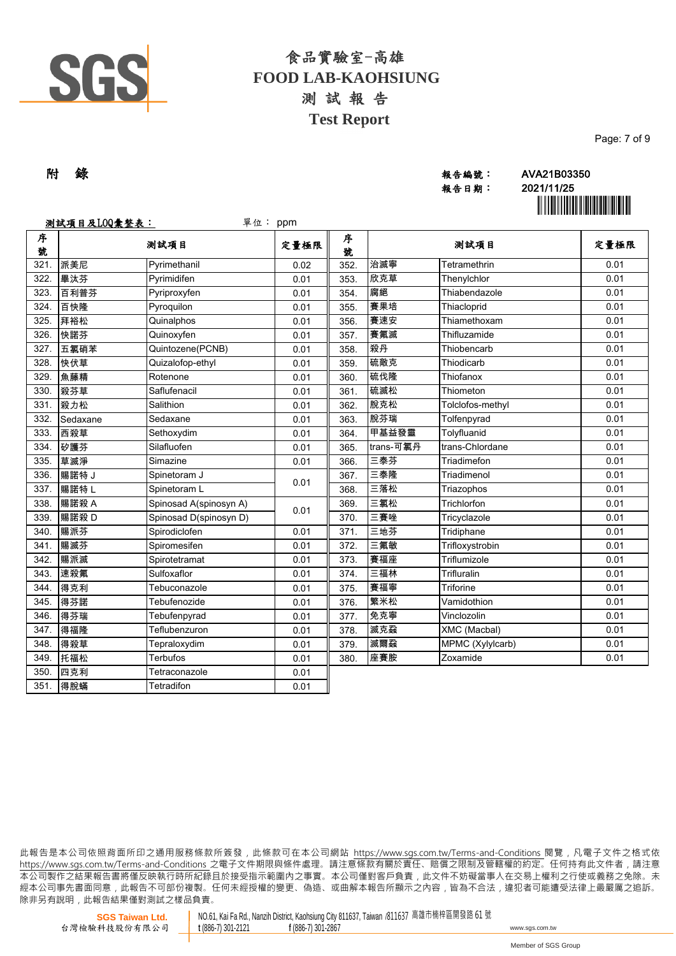

| Page: 7 of 9 |  |  |
|--------------|--|--|
|              |  |  |

### 附 錄 報告編號: AVA21B03350 報告日期: 2021/11/25

ÌAVA21B03350tÎ

|        | 测試項目及LOQ彙整表: | 單位:                    | ppm  |        |           |                  |      |
|--------|--------------|------------------------|------|--------|-----------|------------------|------|
| 序<br>號 |              | 测試項目                   | 定量極限 | 序<br>號 |           | 测試項目             | 定量極限 |
| 321.   | 派美尼          | Pyrimethanil           | 0.02 | 352.   | 治滅寧       | Tetramethrin     | 0.01 |
| 322.   | 畢汰芬          | Pyrimidifen            | 0.01 | 353.   | 欣克草       | Thenylchlor      | 0.01 |
| 323.   | 百利普芬         | Pyriproxyfen           | 0.01 | 354.   | 腐絕        | Thiabendazole    | 0.01 |
| 324.   | 百快隆          | Pyroquilon             | 0.01 | 355.   | 賽果培       | Thiacloprid      | 0.01 |
| 325.   | 拜裕松          | Quinalphos             | 0.01 | 356.   | 賽速安       | Thiamethoxam     | 0.01 |
| 326.   | 快諾芬          | Quinoxyfen             | 0.01 | 357.   | 賽氟滅       | Thifluzamide     | 0.01 |
| 327.   | 五氯硝苯         | Quintozene(PCNB)       | 0.01 | 358.   | 殺丹        | Thiobencarb      | 0.01 |
| 328.   | 快伏草          | Quizalofop-ethyl       | 0.01 | 359.   | 硫敵克       | Thiodicarb       | 0.01 |
| 329.   | 魚藤精          | Rotenone               | 0.01 | 360.   | 硫伐隆       | Thiofanox        | 0.01 |
| 330.   | 殺芬草          | Saflufenacil           | 0.01 | 361.   | 硫滅松       | Thiometon        | 0.01 |
| 331.   | 殺力松          | Salithion              | 0.01 | 362.   | 脫克松       | Tolclofos-methyl | 0.01 |
| 332.   | Sedaxane     | Sedaxane               | 0.01 | 363.   | 脫芬瑞       | Tolfenpyrad      | 0.01 |
| 333.   | 西殺草          | Sethoxydim             | 0.01 | 364.   | 甲基益發靈     | Tolyfluanid      | 0.01 |
| 334.   | 矽護芬          | Silafluofen            | 0.01 | 365.   | trans-可氯丹 | trans-Chlordane  | 0.01 |
| 335.   | 草滅淨          | Simazine               | 0.01 | 366.   | 三泰芬       | Triadimefon      | 0.01 |
| 336.   | 賜諾特 J        | Spinetoram J           | 0.01 | 367.   | 三泰隆       | Triadimenol      | 0.01 |
| 337.   | 賜諾特L         | Spinetoram L           |      | 368.   | 三落松       | Triazophos       | 0.01 |
| 338.   | 賜諾殺 A        | Spinosad A(spinosyn A) | 0.01 | 369.   | 三氯松       | Trichlorfon      | 0.01 |
| 339.   | 賜諾殺D         | Spinosad D(spinosyn D) |      | 370.   | 三賽唑       | Tricyclazole     | 0.01 |
| 340.   | 賜派芬          | Spirodiclofen          | 0.01 | 371.   | 三地芬       | Tridiphane       | 0.01 |
| 341.   | 賜滅芬          | Spiromesifen           | 0.01 | 372.   | 三氟敏       | Trifloxystrobin  | 0.01 |
| 342.   | 賜派滅          | Spirotetramat          | 0.01 | 373.   | 賽福座       | Triflumizole     | 0.01 |
| 343.   | 速殺氟          | Sulfoxaflor            | 0.01 | 374.   | 三福林       | Trifluralin      | 0.01 |
| 344.   | 得克利          | Tebuconazole           | 0.01 | 375.   | 賽福寧       | <b>Triforine</b> | 0.01 |
| 345.   | 得芬諾          | Tebufenozide           | 0.01 | 376.   | 繁米松       | Vamidothion      | 0.01 |
| 346.   | 得芬瑞          | Tebufenpyrad           | 0.01 | 377.   | 免克寧       | Vinclozolin      | 0.01 |
| 347.   | 得福隆          | Teflubenzuron          | 0.01 | 378.   | 滅克蝨       | XMC (Macbal)     | 0.01 |
| 348.   | 得殺草          | Tepraloxydim           | 0.01 | 379.   | 滅爾蝨       | MPMC (Xylylcarb) | 0.01 |
| 349.   | 托福松          | Terbufos               | 0.01 | 380.   | 座賽胺       | Zoxamide         | 0.01 |
| 350.   | 四克利          | Tetraconazole          | 0.01 |        |           |                  |      |
| 351.   | 得脫蟎          | Tetradifon             | 0.01 |        |           |                  |      |

此報告是本公司依照背面所印之通用服務條款所簽發,此條款可在本公司網站 https://www.sgs.com.tw/Terms-and-Conditions 閱覽,凡電子文件之格式依 https://www.sas.com.tw/Terms-and-Conditions 之電子文件期限與條件處理。請注意條款有關於責任、賠償之限制及管轄權的約定。任何持有此文件者,請注意 本 公 司 製 作 之 結 果 報 告 書 將 僅 反 映 執 行 時 所 紀 錄 且 於 接 受 指 示 範 圍 內 之 事 實 。 本 公 司 僅 對 客 戶 負 責 , 此 文 件 不 妨 礙 當 事 人 在 交 易 上 權 利 之 行 使 或 義 務 之 免 除 。 未 經 本 公 司 事 先 書 面 同 意 , 此 報 告 不 可 部 份 複 製 。 任 何 未 經 授 權 的 變 更 、 偽 造 、 或 曲 解 本 報 告 所 顯 示 之 內 容 , 皆 為 不 合 法 , 違 犯 者 可 能 遭 受 法 律 上 最 嚴 厲 之 追 訴 。 除非另有說明, 此報告結果僅對測試之樣品負責。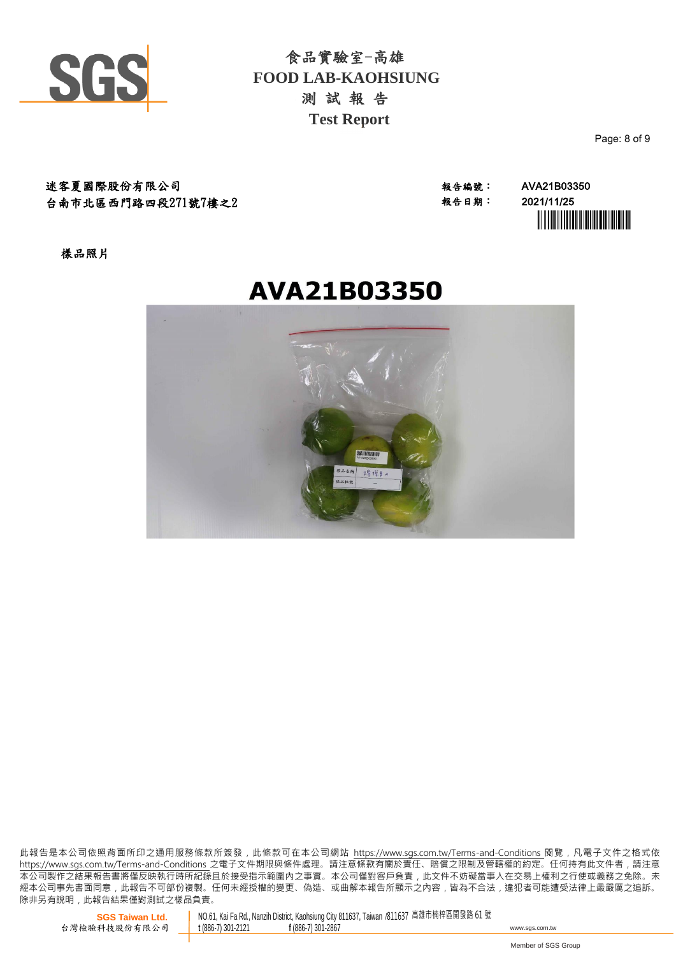

Page: 8 of 9

迷客夏國際股份有限公司 ねんじょう インストラン おおや きょうきょう きょうきょう おくしょう きょうきょう おくしょう おくしょう おくしょう さんじょう おくしょう こくしょう おくしょう 逃客 まんこう おくしょう 台南市北區西門路四段271號7樓之2

報告日期: 2021/11/25 **`** 

樣品照片



此報告是本公司依照背面所印之通用服務條款所簽發,此條款可在本公司網站 https://www.sgs.com.tw/Terms-and-Conditions 閱覽,凡電子文件之格式依 https://www.sas.com.tw/Terms-and-Conditions 之電子文件期限與條件處理。請注意條款有關於責任、賠償之限制及管轄權的約定。任何持有此文件者,請注意 本 公 司 製 作 之 結 果 報 告 書 將 僅 反 映 執 行 時 所 紀 錄 且 於 接 受 指 示 範 圍 內 之 事 實 。 本 公 司 僅 對 客 戶 負 責 , 此 文 件 不 妨 礙 當 事 人 在 交 易 上 權 利 之 行 使 或 義 務 之 免 除 。 未 經 本 公 司 事 先 書 面 同 意 , 此 報 告 不 可 部 份 複 製 。 任 何 未 經 授 權 的 變 更 、 偽 造 、 或 曲 解 本 報 告 所 顯 示 之 內 容 , 皆 為 不 合 法 , 違 犯 者 可 能 遭 受 法 律 上 最 嚴 厲 之 追 訴 。 除非另有說明, 此報告結果僅對測試之樣品負責。

**SGS Taiwan Ltd.** 台灣檢驗科技股份有限公司

NO.61, Kai Fa Rd., Nanzih District, Kaohsiung City 811637, Taiwan /811637 高雄市楠梓區開發路 61 號<br>t (886-7) 301-2121 f (886-7) 301-2867 **<sup>t</sup>** (886-7) 301-2121 **<sup>f</sup>** (886-7) 301-2867 www.sgs.com.tw

Member of SGS Group